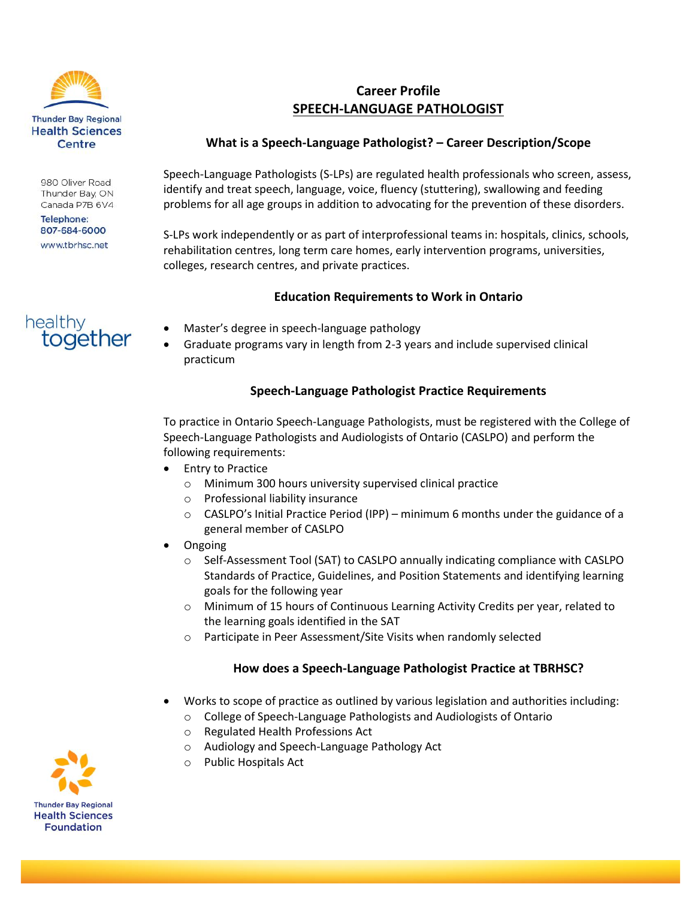

980 Oliver Road Thunder Bay, ON Canada P7B 6V4

**Telephone:** 807-684-6000 www.tbrhsc.net

# healthy together

## **Career Profile SPEECH-LANGUAGE PATHOLOGIST**

#### **What is a Speech-Language Pathologist? – Career Description/Scope**

Speech-Language Pathologists (S-LPs) are regulated health professionals who screen, assess, identify and treat speech, language, voice, fluency (stuttering), swallowing and feeding problems for all age groups in addition to advocating for the prevention of these disorders.

S-LPs work independently or as part of interprofessional teams in: hospitals, clinics, schools, rehabilitation centres, long term care homes, early intervention programs, universities, colleges, research centres, and private practices.

#### **Education Requirements to Work in Ontario**

- Master's degree in speech-language pathology
- Graduate programs vary in length from 2-3 years and include supervised clinical practicum

#### **Speech-Language Pathologist Practice Requirements**

To practice in Ontario Speech-Language Pathologists, must be registered with the College of Speech-Language Pathologists and Audiologists of Ontario (CASLPO) and perform the following requirements:

- Entry to Practice
	- o Minimum 300 hours university supervised clinical practice
	- o Professional liability insurance
	- $\circ$  CASLPO's Initial Practice Period (IPP) minimum 6 months under the guidance of a general member of CASLPO
- **Ongoing** 
	- o Self-Assessment Tool (SAT) to CASLPO annually indicating compliance with CASLPO Standards of Practice, Guidelines, and Position Statements and identifying learning goals for the following year
	- o Minimum of 15 hours of Continuous Learning Activity Credits per year, related to the learning goals identified in the SAT
	- o Participate in Peer Assessment/Site Visits when randomly selected

#### **How does a Speech-Language Pathologist Practice at TBRHSC?**

- Works to scope of practice as outlined by various legislation and authorities including:
	- o College of Speech-Language Pathologists and Audiologists of Ontario
	- o Regulated Health Professions Act
	- o Audiology and Speech-Language Pathology Act
	- o Public Hospitals Act